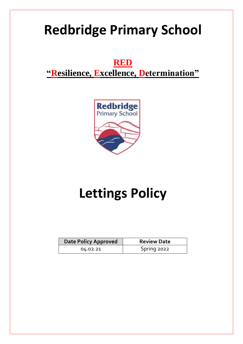# **Redbridge Primary School**

**RED "Resilience, Excellence, Determination"**



# **Lettings Policy**

| Date Policy Approved | <b>Review Date</b> |
|----------------------|--------------------|
| 04.02.21             | Spring 2022        |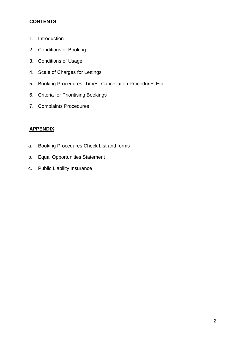#### **CONTENTS**

- 1. Introduction
- 2. Conditions of Booking
- 3. Conditions of Usage
- 4. Scale of Charges for Lettings
- 5. Booking Procedures, Times, Cancellation Procedures Etc.
- 6. Criteria for Prioritising Bookings
- 7. Complaints Procedures

#### **APPENDIX**

- a. Booking Procedures Check List and forms
- b. Equal Opportunities Statement
- c. Public Liability Insurance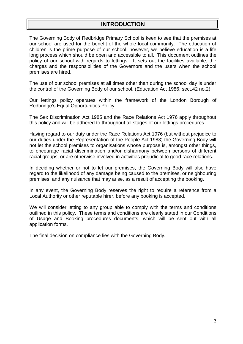#### **INTRODUCTION**

The Governing Body of Redbridge Primary School is keen to see that the premises at our school are used for the benefit of the whole local community. The education of children is the prime purpose of our school; however, we believe education is a life long process which should be open and accessible to all. This document outlines the policy of our school with regards to lettings. It sets out the facilities available, the charges and the responsibilities of the Governors and the users when the school premises are hired.

The use of our school premises at all times other than during the school day is under the control of the Governing Body of our school. (Education Act 1986, sect.42 no.2)

Our lettings policy operates within the framework of the London Borough of Redbridge's Equal Opportunities Policy.

The Sex Discrimination Act 1985 and the Race Relations Act 1976 apply throughout this policy and will be adhered to throughout all stages of our lettings procedures.

Having regard to our duty under the Race Relations Act 1976 (but without prejudice to our duties under the Representation of the People Act 1983) the Governing Body will not let the school premises to organisations whose purpose is, amongst other things, to encourage racial discrimination and/or disharmony between persons of different racial groups, or are otherwise involved in activities prejudicial to good race relations.

In deciding whether or not to let our premises, the Governing Body will also have regard to the likelihood of any damage being caused to the premises, or neighbouring premises, and any nuisance that may arise, as a result of accepting the booking.

In any event, the Governing Body reserves the right to require a reference from a Local Authority or other reputable hirer, before any booking is accepted.

We will consider letting to any group able to comply with the terms and conditions outlined in this policy. These terms and conditions are clearly stated in our Conditions of Usage and Booking procedures documents, which will be sent out with all application forms.

The final decision on compliance lies with the Governing Body.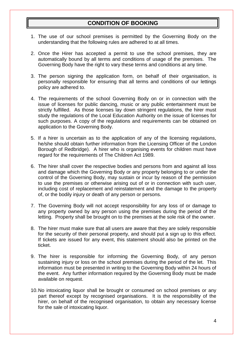# **CONDITION OF BOOKING**

- 1. The use of our school premises is permitted by the Governing Body on the understanding that the following rules are adhered to at all times.
- 2. Once the Hirer has accepted a permit to use the school premises, they are automatically bound by all terms and conditions of usage of the premises. The Governing Body have the right to vary these terms and conditions at any time.
- 3. The person signing the application form, on behalf of their organisation, is personally responsible for ensuring that all terms and conditions of our lettings policy are adhered to.
- 4. The requirements of the school Governing Body on or in connection with the issue of licenses for public dancing, music or any public entertainment must be strictly fulfilled. As those licenses lay down stringent regulations, the hirer must study the regulations of the Local Education Authority on the issue of licenses for such purposes. A copy of the regulations and requirements can be obtained on application to the Governing Body.
- 5. If a hirer is uncertain as to the application of any of the licensing regulations, he/she should obtain further information from the Licensing Officer of the London Borough of Redbridge). A hirer who is organising events for children must have regard for the requirements of The Children Act 1989.
- 6. The hirer shall cover the respective bodies and persons from and against all loss and damage which the Governing Body or any property belonging to or under the control of the Governing Body, may sustain or incur by reason of the permission to use the premises or otherwise arising out of or in connection with such user, including cost of replacement and reinstatement and the damage to the property of, or the bodily injury or death of any person or persons.
- 7. The Governing Body will not accept responsibility for any loss of or damage to any property owned by any person using the premises during the period of the letting. Property shall be brought on to the premises at the sole risk of the owner.
- 8. The hirer must make sure that all users are aware that they are solely responsible for the security of their personal property, and should put a sign up to this effect. If tickets are issued for any event, this statement should also be printed on the ticket.
- 9. The hirer is responsible for informing the Governing Body, of any person sustaining injury or loss on the school premises during the period of the let. This information must be presented in writing to the Governing Body within 24 hours of the event. Any further information required by the Governing Body must be made available on request.
- 10.No intoxicating liquor shall be brought or consumed on school premises or any part thereof except by recognised organisations. It is the responsibility of the hirer, on behalf of the recognised organisation, to obtain any necessary license for the sale of intoxicating liquor.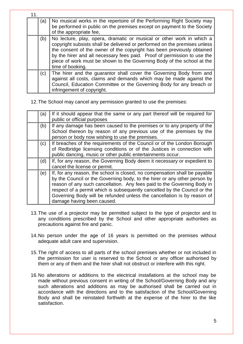| 11 |     |                                                                                                                                                                                                                                                                                                                                                                                                        |
|----|-----|--------------------------------------------------------------------------------------------------------------------------------------------------------------------------------------------------------------------------------------------------------------------------------------------------------------------------------------------------------------------------------------------------------|
|    | (a) | No musical works in the repertoire of the Performing Right Society may<br>be performed in public on the premises except on payment to the Society<br>of the appropriate fee,                                                                                                                                                                                                                           |
|    | (b) | No lecture, play, opera, dramatic or musical or other work in which a<br>copyright subsists shall be delivered or performed on the premises unless<br>the consent of the owner of the copyright has been previously obtained<br>by the hirer and all necessary fees paid. Proof of permission to use the<br>piece of work must be shown to the Governing Body of the school at the<br>time of booking. |
|    | (c) | The hirer and the guarantor shall cover the Governing Body from and<br>against all costs, claims and demands which may be made against the<br>Council, Education Committee or the Governing Body for any breach or<br>infringement of copyright.                                                                                                                                                       |

12.The School may cancel any permission granted to use the premises:

| (a) | If it should appear that the same or any part thereof will be required for |
|-----|----------------------------------------------------------------------------|
|     | public or official purposes                                                |
| (b) | If any damage has been caused to the premises or to any property of the    |
|     | School thereon by reason of any previous use of the premises by the        |
|     | person or body now wishing to use the premises.                            |
| (c) | If breaches of the requirements of the Council or of the London Borough    |
|     | of Redbridge licensing conditions or of the Justices in connection with    |
|     | public dancing, music or other public entertainments occur.                |
| (d) | If, for any reason, the Governing Body deem it necessary or expedient to   |
|     | cancel the license or permit.                                              |
| (e) | If, for any reason, the school is closed, no compensation shall be payable |
|     | by the Council or the Governing body, to the hirer or any other person by  |
|     | reason of any such cancellation. Any fees paid to the Governing Body in    |
|     | respect of a permit which is subsequently cancelled by the Council or the  |
|     | Governing Body will be refunded unless the cancellation is by reason of    |
|     | damage having been caused.                                                 |

- 13.The use of a projector may be permitted subject to the type of projector and to any conditions prescribed by the School and other appropriate authorities as precautions against fire and panic.
- 14.No person under the age of 16 years is permitted on the premises without adequate adult care and supervision.
- 15.The right of access to all parts of the school premises whether or not included in the permission for user is reserved to the School or any officer authorised by them or any of them and the hirer shall not obstruct or interfere with this right.
- 16.No alterations or additions to the electrical installations at the school may be made without previous consent in writing of the School/Governing Body and any such alterations and additions as may be authorised shall be carried out in accordance with the directions and to the satisfaction of the School/Governing Body and shall be reinstated forthwith at the expense of the hirer to the like satisfaction.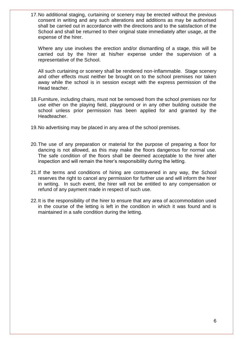17.No additional staging, curtaining or scenery may be erected without the previous consent in writing and any such alterations and additions as may be authorised shall be carried out in accordance with the directions and to the satisfaction of the School and shall be returned to their original state immediately after usage, at the expense of the hirer.

Where any use involves the erection and/or dismantling of a stage, this will be carried out by the hirer at his/her expense under the supervision of a representative of the School.

All such curtaining or scenery shall be rendered non-inflammable. Stage scenery and other effects must neither be brought on to the school premises nor taken away while the school is in session except with the express permission of the Head teacher.

- 18.Furniture, including chairs, must not be removed from the school premises nor for use either on the playing field, playground or in any other building outside the school unless prior permission has been applied for and granted by the Headteacher.
- 19.No advertising may be placed in any area of the school premises.
- 20.The use of any preparation or material for the purpose of preparing a floor for dancing is not allowed, as this may make the floors dangerous for normal use. The safe condition of the floors shall be deemed acceptable to the hirer after inspection and will remain the hirer's responsibility during the letting.
- 21.If the terms and conditions of hiring are contravened in any way, the School reserves the right to cancel any permission for further use and will inform the hirer in writing. In such event, the hirer will not be entitled to any compensation or refund of any payment made in respect of such use.
- 22.It is the responsibility of the hirer to ensure that any area of accommodation used in the course of the letting is left in the condition in which it was found and is maintained in a safe condition during the letting.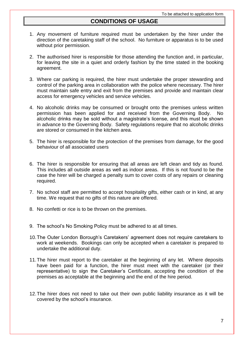#### **CONDITIONS OF USAGE**

- 1. Any movement of furniture required must be undertaken by the hirer under the direction of the caretaking staff of the school. No furniture or apparatus is to be used without prior permission.
- 2. The authorised hirer is responsible for those attending the function and, in particular, for leaving the site in a quiet and orderly fashion by the time stated in the booking agreement.
- 3. Where car parking is required, the hirer must undertake the proper stewarding and control of the parking area in collaboration with the police where necessary. The hirer must maintain safe entry and exit from the premises and provide and maintain clear access for emergency vehicles and service vehicles.
- 4. No alcoholic drinks may be consumed or brought onto the premises unless written permission has been applied for and received from the Governing Body. No alcoholic drinks may be sold without a magistrate's license, and this must be shown in advance to the Governing Body. Safety regulations require that no alcoholic drinks are stored or consumed in the kitchen area.
- 5. The hirer is responsible for the protection of the premises from damage, for the good behaviour of all associated users
- 6. The hirer is responsible for ensuring that all areas are left clean and tidy as found. This includes all outside areas as well as indoor areas. If this is not found to be the case the hirer will be charged a penalty sum to cover costs of any repairs or cleaning required.
- 7. No school staff are permitted to accept hospitality gifts, either cash or in kind, at any time. We request that no gifts of this nature are offered.
- 8. No confetti or rice is to be thrown on the premises.
- 9. The school's No Smoking Policy must be adhered to at all times.
- 10.The Outer London Borough's Caretakers' agreement does not require caretakers to work at weekends. Bookings can only be accepted when a caretaker is prepared to undertake the additional duty.
- 11.The hirer must report to the caretaker at the beginning of any let. Where deposits have been paid for a function, the hirer must meet with the caretaker (or their representative) to sign the Caretaker's Certificate, accepting the condition of the premises as acceptable at the beginning and the end of the hire period.
- 12.The hirer does not need to take out their own public liability insurance as it will be covered by the school's insurance.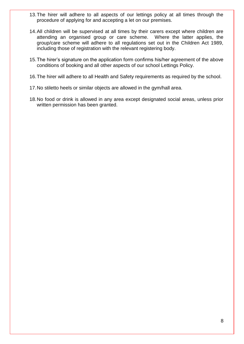- 13.The hirer will adhere to all aspects of our lettings policy at all times through the procedure of applying for and accepting a let on our premises.
- 14.All children will be supervised at all times by their carers except where children are attending an organised group or care scheme. Where the latter applies, the group/care scheme will adhere to all regulations set out in the Children Act 1989, including those of registration with the relevant registering body.
- 15.The hirer's signature on the application form confirms his/her agreement of the above conditions of booking and all other aspects of our school Lettings Policy.
- 16.The hirer will adhere to all Health and Safety requirements as required by the school.
- 17.No stiletto heels or similar objects are allowed in the gym/hall area.
- 18.No food or drink is allowed in any area except designated social areas, unless prior written permission has been granted.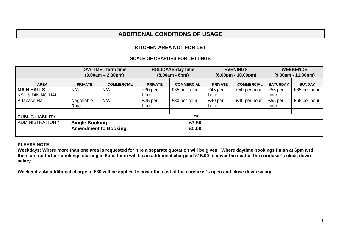# **ADDITIONAL CONDITIONS OF USAGE**

#### **KITCHEN AREA NOT FOR LET**

#### **SCALE OF CHARGES FOR LETTINGS**

|                              | <b>DAYTIME</b> -term time      |                             | <b>HOLIDAYS-day time</b> |                   | <b>EVENINGS</b>      |                   | <b>WEEKENDS</b>      |               |
|------------------------------|--------------------------------|-----------------------------|--------------------------|-------------------|----------------------|-------------------|----------------------|---------------|
|                              | $(9.00am - 2.30pm)$            |                             | $(8.00am - 6pm)$         |                   | $(6.00pm - 10.00pm)$ |                   | $(9.00am - 11.00pm)$ |               |
| <b>AREA</b>                  | <b>PRIVATE</b>                 | <b>COMMERCIAL</b>           | <b>PRIVATE</b>           | <b>COMMERCIAL</b> | <b>PRIVATE</b>       | <b>COMMERCIAL</b> | <b>SATURDAY</b>      | <b>SUNDAY</b> |
| <b>MAIN HALLS</b>            | N/A                            | N/A                         | £30 per                  | £35 per hour      | £45 per              | £50 per hour      | £55 per              | £65 per hour  |
| <b>KS1 &amp; DINING HALL</b> |                                |                             | hour                     |                   | hour                 |                   | hour                 |               |
| Artspace Hall                | Negotiable                     | N/A                         | £25 per                  | £30 per hour      | £40 per              | £45 per hour      | £55 per              | £65 per hour  |
|                              | Rate                           |                             | hour                     |                   | hour                 |                   | hour                 |               |
|                              |                                |                             |                          |                   |                      |                   |                      |               |
| <b>PUBLIC LIABILITY</b>      | £5                             |                             |                          |                   |                      |                   |                      |               |
| ADMINISTRATION *             | <b>Single Booking</b><br>£7.50 |                             |                          |                   |                      |                   |                      |               |
|                              |                                | <b>Amendment to Booking</b> |                          | £5.00             |                      |                   |                      |               |

#### **PLEASE NOTE:**

**Weekdays: Where more than one area is requested for hire a separate quotation will be given. Where daytime bookings finish at 6pm and there are no further bookings starting at 6pm, there will be an additional charge of £15.00 to cover the cost of the caretaker's close down salary.** 

**Weekends: An additional charge of £30 will be applied to cover the cost of the caretaker's open and close down salary.**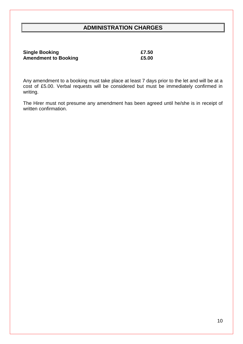# **ADMINISTRATION CHARGES**

| <b>Single Booking</b>       | £7.50 |
|-----------------------------|-------|
| <b>Amendment to Booking</b> | £5.00 |

Any amendment to a booking must take place at least 7 days prior to the let and will be at a cost of £5.00. Verbal requests will be considered but must be immediately confirmed in writing.

The Hirer must not presume any amendment has been agreed until he/she is in receipt of written confirmation.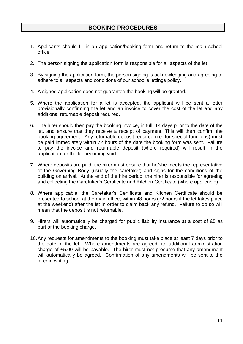### **BOOKING PROCEDURES**

- 1. Applicants should fill in an application/booking form and return to the main school office.
- 2. The person signing the application form is responsible for all aspects of the let.
- 3. By signing the application form, the person signing is acknowledging and agreeing to adhere to all aspects and conditions of our school's lettings policy.
- 4. A signed application does not guarantee the booking will be granted.
- 5. Where the application for a let is accepted, the applicant will be sent a letter provisionally confirming the let and an invoice to cover the cost of the let and any additional returnable deposit required.
- 6. The hirer should then pay the booking invoice, in full, 14 days prior to the date of the let, and ensure that they receive a receipt of payment. This will then confirm the booking agreement. Any returnable deposit required (i.e. for special functions) must be paid immediately within 72 hours of the date the booking form was sent. Failure to pay the invoice and returnable deposit (where required) will result in the application for the let becoming void.
- 7. Where deposits are paid, the hirer must ensure that he/she meets the representative of the Governing Body (usually the caretaker) and signs for the conditions of the building on arrival. At the end of the hire period, the hirer is responsible for agreeing and collecting the Caretaker's Certificate and Kitchen Certificate (where applicable).
- 8. Where applicable, the Caretaker's Certificate and Kitchen Certificate should be presented to school at the main office, within 48 hours (72 hours if the let takes place at the weekend) after the let in order to claim back any refund. Failure to do so will mean that the deposit is not returnable.
- 9. Hirers will automatically be charged for public liability insurance at a cost of £5 as part of the booking charge.
- 10.Any requests for amendments to the booking must take place at least 7 days prior to the date of the let. Where amendments are agreed, an additional administration charge of £5.00 will be payable. The hirer must not presume that any amendment will automatically be agreed. Confirmation of any amendments will be sent to the hirer in writing.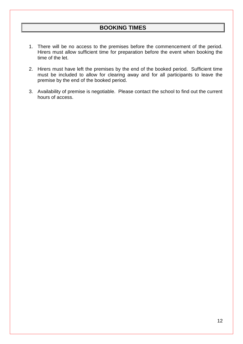- 1. There will be no access to the premises before the commencement of the period. Hirers must allow sufficient time for preparation before the event when booking the time of the let.
- 2. Hirers must have left the premises by the end of the booked period. Sufficient time must be included to allow for clearing away and for all participants to leave the premise by the end of the booked period.
- 3. Availability of premise is negotiable. Please contact the school to find out the current hours of access.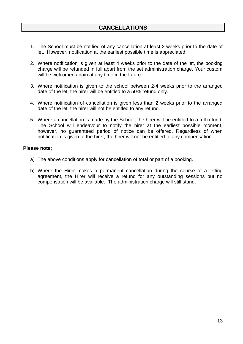- 1. The School must be notified of any cancellation at least 2 weeks prior to the date of let. However, notification at the earliest possible time is appreciated.
- 2. Where notification is given at least 4 weeks prior to the date of the let, the booking charge will be refunded in full apart from the set administration charge. Your custom will be welcomed again at any time in the future.
- 3. Where notification is given to the school between 2-4 weeks prior to the arranged date of the let, the hirer will be entitled to a 50% refund only.
- 4. Where notification of cancellation is given less than 2 weeks prior to the arranged date of the let, the hirer will not be entitled to any refund.
- 5. Where a cancellation is made by the School, the hirer will be entitled to a full refund. The School will endeavour to notify the hirer at the earliest possible moment, however, no guaranteed period of notice can be offered. Regardless of when notification is given to the hirer, the hirer will not be entitled to any compensation.

#### **Please note:**

- a) The above conditions apply for cancellation of total or part of a booking.
- b) Where the Hirer makes a permanent cancellation during the course of a letting agreement, the Hirer will receive a refund for any outstanding sessions but no compensation will be available. The administration charge will still stand.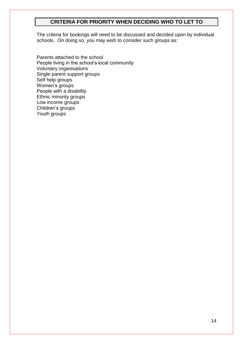#### **CRITERIA FOR PRIORITY WHEN DECIDING WHO TO LET TO**

The criteria for bookings will need to be discussed and decided upon by individual schools. On doing so, you may wish to consider such groups as:

Parents attached to the school People living in the school's local community Voluntary organisations Single parent support groups Self help groups Women's groups People with a disability Ethnic minority groups Low income groups Children's groups Youth groups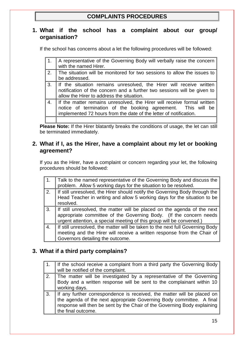# **COMPLAINTS PROCEDURES**

### **1. What if the school has a complaint about our group/ organisation?**

If the school has concerns about a let the following procedures will be followed:

|    | A representative of the Governing Body will verbally raise the concern<br>with the named Hirer.                                                                                                              |
|----|--------------------------------------------------------------------------------------------------------------------------------------------------------------------------------------------------------------|
| 2. | The situation will be monitored for two sessions to allow the issues to<br>be addressed.                                                                                                                     |
| 3. | If the situation remains unresolved, the Hirer will receive written<br>notification of the concern and a further two sessions will be given to<br>allow the Hirer to address the situation.                  |
| 4. | If the matter remains unresolved, the Hirer will receive formal written<br>notice of termination of the booking agreement. This will be<br>implemented 72 hours from the date of the letter of notification. |
|    |                                                                                                                                                                                                              |

Please Note: If the Hirer blatantly breaks the conditions of usage, the let can still be terminated immediately.

#### **2. What if I, as the Hirer, have a complaint about my let or booking agreement?**

If you as the Hirer, have a complaint or concern regarding your let, the following procedures should be followed:

|    | Talk to the named representative of the Governing Body and discuss the<br>problem. Allow 5 working days for the situation to be resolved.                                                                              |
|----|------------------------------------------------------------------------------------------------------------------------------------------------------------------------------------------------------------------------|
| 2. | If still unresolved, the Hirer should notify the Governing Body through the<br>Head Teacher in writing and allow 5 working days for the situation to be<br>resolved.                                                   |
| 3. | If still unresolved, the matter will be placed on the agenda of the next<br>appropriate committee of the Governing Body. (If the concern needs<br>urgent attention, a special meeting of this group will be convened.) |
| 4. | If still unresolved, the matter will be taken to the next full Governing Body<br>meeting and the Hirer will receive a written response from the Chair of<br>Governors detailing the outcome.                           |

# **3. What if a third party complains?**

|    | If the school receive a complaint from a third party the Governing Body<br>will be notified of the complaint.                                                                                                                                     |
|----|---------------------------------------------------------------------------------------------------------------------------------------------------------------------------------------------------------------------------------------------------|
| 2. | The matter will be investigated by a representative of the Governing<br>Body and a written response will be sent to the complainant within 10<br>working days.                                                                                    |
| 3. | If any further correspondence is received, the matter will be placed on<br>the agenda of the next appropriate Governing Body committee. A final<br>response will then be sent by the Chair of the Governing Body explaining<br>the final outcome. |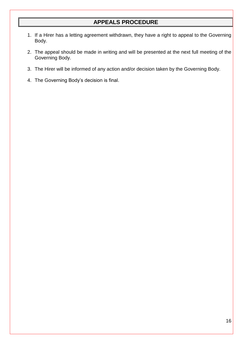# **APPEALS PROCEDURE**

- 1. If a Hirer has a letting agreement withdrawn, they have a right to appeal to the Governing Body.
- 2. The appeal should be made in writing and will be presented at the next full meeting of the Governing Body.
- 3. The Hirer will be informed of any action and/or decision taken by the Governing Body.
- 4. The Governing Body's decision is final.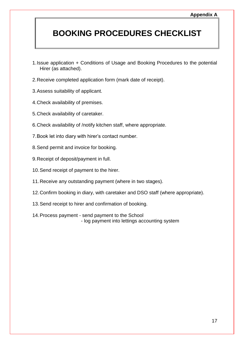# **BOOKING PROCEDURES CHECKLIST**

- 1.Issue application + Conditions of Usage and Booking Procedures to the potential Hirer (as attached).
- 2.Receive completed application form (mark date of receipt).
- 3.Assess suitability of applicant.
- 4.Check availability of premises.
- 5.Check availability of caretaker.
- 6.Check availability of /notify kitchen staff, where appropriate.
- 7.Book let into diary with hirer's contact number.
- 8.Send permit and invoice for booking.
- 9.Receipt of deposit/payment in full.
- 10.Send receipt of payment to the hirer.
- 11.Receive any outstanding payment (where in two stages).
- 12.Confirm booking in diary, with caretaker and DSO staff (where appropriate).
- 13.Send receipt to hirer and confirmation of booking.
- 14.Process payment send payment to the School - log payment into lettings accounting system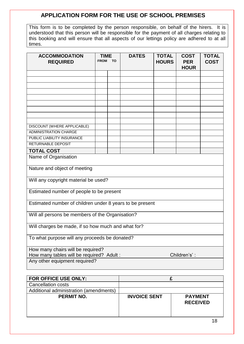## **APPLICATION FORM FOR THE USE OF SCHOOL PREMISES**

This form is to be completed by the person responsible, on behalf of the hirers. It is understood that this person will be responsible for the payment of all charges relating to this booking and will ensure that all aspects of our lettings policy are adhered to at all times.

| <b>ACCOMMODATION</b><br><b>REQUIRED</b>                   | <b>TIME</b><br><b>FROM</b> | <b>TO</b> | <b>DATES</b> | <b>TOTAL</b><br><b>HOURS</b> | <b>COST</b><br><b>PER</b><br><b>HOUR</b> | <b>TOTAL</b><br><b>COST</b> |
|-----------------------------------------------------------|----------------------------|-----------|--------------|------------------------------|------------------------------------------|-----------------------------|
|                                                           |                            |           |              |                              |                                          |                             |
|                                                           |                            |           |              |                              |                                          |                             |
|                                                           |                            |           |              |                              |                                          |                             |
|                                                           |                            |           |              |                              |                                          |                             |
|                                                           |                            |           |              |                              |                                          |                             |
|                                                           |                            |           |              |                              |                                          |                             |
|                                                           |                            |           |              |                              |                                          |                             |
|                                                           |                            |           |              |                              |                                          |                             |
| DISCOUNT (WHERE APPLICABLE)                               |                            |           |              |                              |                                          |                             |
| <b>ADMINISTRATION CHARGE</b>                              |                            |           |              |                              |                                          |                             |
| PUBLIC LIABILITY INSURANCE                                |                            |           |              |                              |                                          |                             |
| RETURNABLE DEPOSIT                                        |                            |           |              |                              |                                          |                             |
| <b>TOTAL COST</b>                                         |                            |           |              |                              |                                          |                             |
| Name of Organisation                                      |                            |           |              |                              |                                          |                             |
|                                                           |                            |           |              |                              |                                          |                             |
| Nature and object of meeting                              |                            |           |              |                              |                                          |                             |
| Will any copyright material be used?                      |                            |           |              |                              |                                          |                             |
| Estimated number of people to be present                  |                            |           |              |                              |                                          |                             |
| Estimated number of children under 8 years to be present  |                            |           |              |                              |                                          |                             |
| Will all persons be members of the Organisation?          |                            |           |              |                              |                                          |                             |
| Will charges be made, if so how much and what for?        |                            |           |              |                              |                                          |                             |
| To what purpose will any proceeds be donated?             |                            |           |              |                              |                                          |                             |
| How many chairs will be required?                         |                            |           |              |                              |                                          |                             |
| How many tables will be required? Adult :<br>Children's': |                            |           |              |                              |                                          |                             |
| Any other equipment required?                             |                            |           |              |                              |                                          |                             |

| FOR OFFICE USE ONLY:                   |                     |                                   |
|----------------------------------------|---------------------|-----------------------------------|
| <b>Cancellation costs</b>              |                     |                                   |
| Additional administration (amendments) |                     |                                   |
| <b>PERMIT NO.</b>                      | <b>INVOICE SENT</b> | <b>PAYMENT</b><br><b>RECEIVED</b> |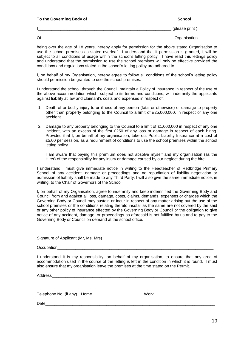| To the Governing Body of | School         |
|--------------------------|----------------|
|                          | (please print) |
| Ωſ                       | Organisation   |

being over the age of 18 years, hereby apply for permission for the above stated Organisation to use the school premises as stated overleaf. I understand that if permission is granted, it will be subject to all conditions of usage within the school's letting policy. I have read this lettings policy and understand that the permission to use the school premises will only be effective provided the conditions and regulations stated in the school's letting policy are adhered to.

I, on behalf of my Organisation, hereby agree to follow all conditions of the school's letting policy should permission be granted to use the school premises.

I understand the school, through the Council, maintain a Policy of Insurance in respect of the use of the above accommodation which, subject to its terms and conditions, will indemnify the applicants against liability at law and claimant's costs and expenses in respect of:

- 1. Death of or bodily injury to or illness of any person (fatal or otherwise) or damage to property other than property belonging to the Council to a limit of £25,000,000. in respect of any one accident.
- 2. Damage to any property belonging to the Council to a limit of £1,000,000 in respect of any one incident, with an excess of the first £250 of any loss or damage in respect of each hiring. Provided that I, on behalf of my organisation, take out Public Liability Insurance at a cost of £5.00 per session, as a requirement of conditions to use the school premises within the school letting policy.

I am aware that paying this premium does not absolve myself and my organisation (as the Hirer) of the responsibility for any injury or damage caused by our neglect during the hire.

I understand I must give immediate notice in writing to the Headteacher of Redbridge Primary School of any accident, damage or proceedings and no repudiation of liability negotiation or admission of liability shall be made to any Third Party. I will also give the same immediate notice, in writing, to the Chair of Governors of the School.

I, on behalf of my Organisation, agree to indemnify and keep indemnified the Governing Body and Council from and against all loss, damage, costs, claims, demands, expenses or charges which the Governing Body or Council may sustain or incur in respect of any matter arising out the use of the school premises or the conditions relating thereto insofar as the same are not covered by the said or any other policy of insurance effected by the Governing Body or Council or the obligation to give notice of any accident, damage, or proceedings as aforesaid is not fulfilled by us and to pay to the Governing Body or Council on demand at the school office.

Signature of Applicant (Mr, Ms, Mrs) \_\_\_\_\_\_\_\_\_\_\_\_\_\_\_\_\_\_\_\_\_\_\_\_\_\_\_\_\_\_\_\_\_\_\_\_\_\_\_\_\_\_\_\_\_\_\_\_\_

Occupation

I understand it is my responsibility, on behalf of my organisation, to ensure that any area of accommodation used in the course of the letting is left in the condition in which it is found. I must also ensure that my organisation leave the premises at the time stated on the Permit.

Address\_\_\_\_\_\_\_\_\_\_\_\_\_\_\_\_\_\_\_\_\_\_\_\_\_\_\_\_\_\_\_\_\_\_\_\_\_\_\_\_\_\_\_\_\_\_\_\_\_\_\_\_\_\_\_\_\_\_\_\_\_\_\_\_\_\_\_\_\_\_\_\_

| Telephone No. (if any) Home | Work |
|-----------------------------|------|
| Date                        |      |

 $\_$  ,  $\_$  ,  $\_$  ,  $\_$  ,  $\_$  ,  $\_$  ,  $\_$  ,  $\_$  ,  $\_$  ,  $\_$  ,  $\_$  ,  $\_$  ,  $\_$  ,  $\_$  ,  $\_$  ,  $\_$  ,  $\_$  ,  $\_$  ,  $\_$  ,  $\_$  ,  $\_$  ,  $\_$  ,  $\_$  ,  $\_$  ,  $\_$  ,  $\_$  ,  $\_$  ,  $\_$  ,  $\_$  ,  $\_$  ,  $\_$  ,  $\_$  ,  $\_$  ,  $\_$  ,  $\_$  ,  $\_$  ,  $\_$  ,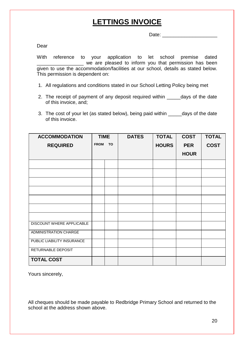# **LETTINGS INVOICE**

Date: \_\_\_\_\_\_\_\_\_\_\_\_\_\_\_\_\_\_\_\_

Dear

With reference to your application to let school premise dated \_\_\_\_\_\_\_\_\_\_\_\_\_\_\_\_\_ we are pleased to inform you that permission has been given to use the accommodation/facilities at our school, details as stated below. This permission is dependent on:

- 1. All regulations and conditions stated in our School Letting Policy being met
- 2. The receipt of payment of any deposit required within \_\_\_\_\_days of the date of this invoice, and;
- 3. The cost of your let (as stated below), being paid within \_\_\_\_\_days of the date of this invoice.

| <b>ACCOMMODATION</b>         | <b>TIME</b>              |  | <b>DATES</b> | <b>TOTAL</b> | <b>COST</b> | <b>TOTAL</b> |
|------------------------------|--------------------------|--|--------------|--------------|-------------|--------------|
| <b>REQUIRED</b>              | <b>TO</b><br><b>FROM</b> |  |              | <b>HOURS</b> | <b>PER</b>  | <b>COST</b>  |
|                              |                          |  |              |              | <b>HOUR</b> |              |
|                              |                          |  |              |              |             |              |
|                              |                          |  |              |              |             |              |
|                              |                          |  |              |              |             |              |
|                              |                          |  |              |              |             |              |
|                              |                          |  |              |              |             |              |
|                              |                          |  |              |              |             |              |
|                              |                          |  |              |              |             |              |
| DISCOUNT WHERE APPLICABLE    |                          |  |              |              |             |              |
| <b>ADMINISTRATION CHARGE</b> |                          |  |              |              |             |              |
| PUBLIC LIABILITY INSURANCE   |                          |  |              |              |             |              |
| RETURNABLE DEPOSIT           |                          |  |              |              |             |              |
| <b>TOTAL COST</b>            |                          |  |              |              |             |              |

Yours sincerely,

All cheques should be made payable to Redbridge Primary School and returned to the school at the address shown above.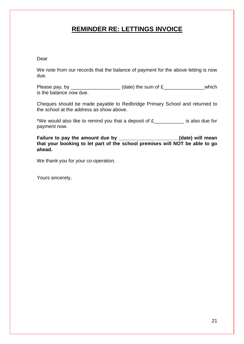# **REMINDER RE: LETTINGS INVOICE**

#### Dear

We note from our records that the balance of payment for the above letting is now due.

Please pay, by \_\_\_\_\_\_\_\_\_\_\_\_\_\_\_\_\_\_\_\_\_(date) the sum of  $£$ \_\_\_\_\_\_\_\_\_\_\_\_\_\_\_\_which is the balance now due.

Cheques should be made payable to Redbridge Primary School and returned to the school at the address as show above.

\*We would also like to remind you that a deposit of  $f_{\text{max}}$  is also due for payment now.

**Failure to pay the amount due by \_\_\_\_\_\_\_\_\_\_\_\_\_\_\_\_\_\_\_\_\_\_(date) will mean that your booking to let part of the school premises will NOT be able to go ahead.**

We thank you for your co-operation.

Yours sincerely,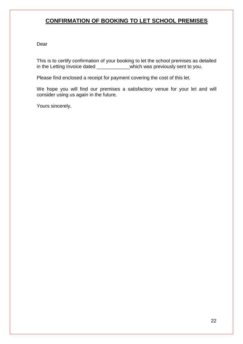# **CONFIRMATION OF BOOKING TO LET SCHOOL PREMISES**

Dear

This is to certify confirmation of your booking to let the school premises as detailed in the Letting Invoice dated \_\_\_\_\_\_\_\_\_\_\_which was previously sent to you.

Please find enclosed a receipt for payment covering the cost of this let.

We hope you will find our premises a satisfactory venue for your let and will consider using us again in the future.

Yours sincerely,